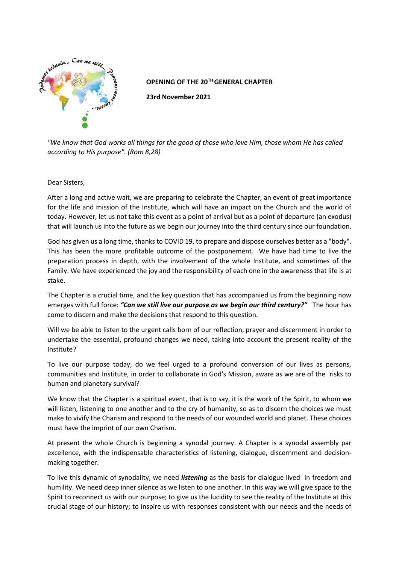

## **OPENING OF THE 20TH GENERAL CHAPTER**

**23rd November 2021**

*"We know that God works all things for the good of those who love Him, those whom He has called according to His purpose". (Rom 8,28)*

## Dear Sisters,

After a long and active wait, we are preparing to celebrate the Chapter, an event of great importance for the life and mission of the Institute, which will have an impact on the Church and the world of today. However, let us not take this event as a point of arrival but as a point of departure (an exodus) that will launch us into the future as we begin our journey into the third century since our foundation.

God has given us a long time, thanks to COVID 19, to prepare and dispose ourselves better as a "body". This has been the more profitable outcome of the postponement. We have had time to live the preparation process in depth, with the involvement of the whole Institute, and sometimes of the Family. We have experienced the joy and the responsibility of each one in the awareness that life is at stake.

The Chapter is a crucial time, and the key question that has accompanied us from the beginning now emerges with full force: *"Can we still live our purpose as we begin our third century?"* The hour has come to discern and make the decisions that respond to this question.

Will we be able to listen to the urgent calls born of our reflection, prayer and discernment in order to undertake the essential, profound changes we need, taking into account the present reality of the Institute?

To live our purpose today, do we feel urged to a profound conversion of our lives as persons, communities and Institute, in order to collaborate in God's Mission, aware as we are of the risks to human and planetary survival?

We know that the Chapter is a spiritual event, that is to say, it is the work of the Spirit, to whom we will listen, listening to one another and to the cry of humanity, so as to discern the choices we must make to vivify the Charism and respond to the needs of our wounded world and planet. These choices must have the imprint of our own Charism.

At present the whole Church is beginning a synodal journey. A Chapter is a synodal assembly par excellence, with the indispensable characteristics of listening, dialogue, discernment and decisionmaking together.

To live this dynamic of synodality, we need *listening* as the basis for dialogue lived in freedom and humility. We need deep inner silence as we listen to one another. In this way we will give space to the Spirit to reconnect us with our purpose; to give us the lucidity to see the reality of the Institute at this crucial stage of our history; to inspire us with responses consistent with our needs and the needs of